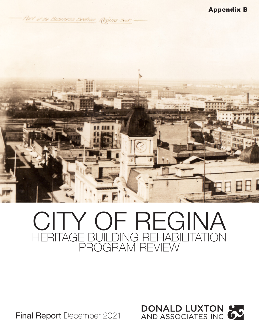Part of the Business Section, Regina Sest



# HERITAGE BUILDING REHABILITATION PROGRAM REVIEW CITY OF REGINA

Final Report December 2021

**DONALD LUXTON &**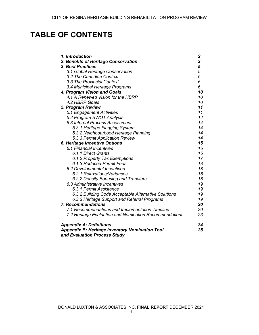# **TABLE OF CONTENTS**

| 1. Introduction                                        |      |
|--------------------------------------------------------|------|
| 2. Benefits of Heritage Conservation                   | 2355 |
| 3. Best Practices                                      |      |
| 3.1 Global Heritage Conservation                       |      |
| 3.2 The Canadian Context                               |      |
| 3.3 The Provincial Context                             | 6    |
| 3.4 Municipal Heritage Programs                        | 6    |
| 4. Program Vision and Goals                            | 10   |
| 4.1 A Renewed Vision for the HBRP                      | 10   |
| 4.2 HBRP Goals                                         | 10   |
| 5. Program Review                                      | 11   |
| 5.1 Engagement Activities                              | 11   |
| 5.2 Program SWOT Analysis                              | 12   |
| 5.3 Internal Process Assessment                        | 14   |
| 5.3.1 Heritage Flagging System                         | 14   |
| 5.3.2 Neighbourhood Heritage Planning                  | 14   |
| 5.3.3 Permit Application Review                        | 14   |
| 6. Heritage Incentive Options                          | 15   |
| 6.1 Financial Incentives                               | 15   |
| 6.1.1 Direct Grants                                    | 15   |
| 6.1.2 Property Tax Exemptions                          | 17   |
| 6.1.3 Reduced Permit Fees                              | 18   |
| 6.2 Developmental Incentives                           | 18   |
| 6.2.1 Relaxations/Variances                            | 18   |
| 6.2.2 Density Bonusing and Transfers                   | 18   |
| 6.3 Administrative Incentives                          | 19   |
| 6.3.1 Permit Assistance                                | 19   |
| 6.3.2 Building Code Acceptable Alternative Solutions   | 19   |
| 6.3.3 Heritage Support and Referral Programs           | 19   |
| <b>7. Recommendations</b>                              | 20   |
| 7.1 Recommendations and Implementation Timeline        | 20   |
| 7.2 Heritage Evaluation and Nomination Recommendations | 23   |
| <b>Appendix A: Definitions</b>                         | 24   |
| <b>Appendix B: Heritage Inventory Nomination Tool</b>  | 25   |
| and Evaluation Process Study                           |      |

DONALD LUXTON & ASSOCIATES INC. **FINAL REPORT** DECEMBER 2021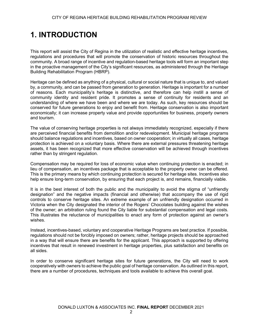# **1. INTRODUCTION**

This report will assist the City of Regina in the utilization of realistic and effective heritage incentives, regulations and procedures that will promote the conservation of historic resources throughout the community. A broad range of incentive and regulation-based heritage tools will form an important step in the proactive management of the City's significant resources, as administered through the Heritage Building Rehabilitation Program (HBRP).

Heritage can be defined as anything of a physical, cultural or social nature that is unique to, and valued by, a community, and can be passed from generation to generation. Heritage is important for a number of reasons. Each municipality's heritage is distinctive, and therefore can help instill a sense of community identity and resident pride. It promotes a sense of continuity for residents and an understanding of where we have been and where we are today. As such, key resources should be conserved for future generations to enjoy and benefit from. Heritage conservation is also important economically; it can increase property value and provide opportunities for business, property owners and tourism.

The value of conserving heritage properties is not always immediately recognized, especially if there are perceived financial benefits from demolition and/or redevelopment. Municipal heritage programs should balance regulations and incentives, based on owner cooperation; in virtually all cases, heritage protection is achieved on a voluntary basis. Where there are external pressures threatening heritage assets, it has been recognized that more effective conservation will be achieved through incentives rather than by stringent regulation.

Compensation may be required for loss of economic value when continuing protection is enacted; in lieu of compensation, an incentives package that is acceptable to the property owner can be offered. This is the primary means by which continuing protection is secured for heritage sites. Incentives also help ensure long-term conservation, by ensuring that each project is, and remains, financially viable.

It is in the best interest of both the public and the municipality to avoid the stigma of "unfriendly designation" and the negative impacts (financial and otherwise) that accompany the use of rigid controls to conserve heritage sites. An extreme example of an unfriendly designation occurred in Victoria when the City designated the interior of the Rogers' Chocolates building against the wishes of the owner; an arbitration ruling found the City liable for substantial compensation and legal costs. This illustrates the reluctance of municipalities to enact any form of protection against an owner's wishes.

Instead, incentives-based, voluntary and cooperative Heritage Programs are best practice. If possible, regulations should not be forcibly imposed on owners; rather, heritage projects should be approached in a way that will ensure there are benefits for the applicant. This approach is supported by offering incentives that result in renewed investment in heritage properties, plus satisfaction and benefits on all sides.

In order to conserve significant heritage sites for future generations, the City will need to work cooperatively with owners to achieve the public goal of heritage conservation. As outlined in this report, there are a number of procedures, techniques and tools available to achieve this overall goal.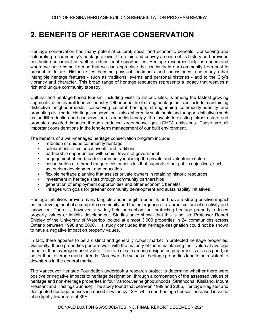### **2. BENEFITS OF HERITAGE CONSERVATION**

Heritage conservation has many potential cultural, social and economic benefits. Conserving and celebrating a community's heritage allows it to retain and convey a sense of its history and provides aesthetic enrichment as well as educational opportunities. Heritage resources help us understand where we have come from so that we can appreciate the continuity in our community from past to present to future. Historic sites become physical landmarks and touchstones, and many other intangible heritage features - such as traditions, events and personal histories - add to the City's vibrancy and character. This broad range of heritage resources represents a legacy that weaves a rich and unique community tapestry.

Cultural and heritage-based tourism, including visits to historic sites, is among the fastest growing segments of the overall tourism industry. Other benefits of strong heritage policies include maintaining distinctive neighbourhoods, conserving cultural heritage, strengthening community identity and promoting civic pride. Heritage conservation is also inherently sustainable and supports initiatives such as landfill reduction and conservation of embodied energy. It reinvests in existing infrastructure and promotes avoided impacts through reduced greenhouse gas (GHG) emissions. These are all important considerations in the long-term management of our built environment.

The benefits of a well-managed heritage conservation program include:

- retention of unique community heritage
- celebrations of historical events and traditions
- partnership opportunities with senior levels of government
- engagement of the broader community including the private and volunteer sectors
- conservation of a broad range of historical sites that supports other public objectives, such as tourism development and education
- flexible heritage planning that assists private owners in retaining historic resources
- investment in heritage sites through community partnerships
- generation of employment opportunities and other economic benefits
- linkages with goals for greener community development and sustainability initiatives

Heritage initiatives provide many tangible and intangible benefits and have a strong positive impact on the development of a complete community and the emergence of a vibrant culture of creativity and innovation. There is, however, a widely-held perception that protecting heritage property reduces property values or inhibits development. Studies have shown that this is not so; Professor Robert Shipley of the University of Waterloo looked at almost 3,000 properties in 24 communities across Ontario between 1998 and 2000. His study concluded that heritage designation could not be shown to have a negative impact on property values.

In fact, there appears to be a distinct and generally robust market in protected heritage properties. Generally, these properties perform well, with the majority of them maintaining their value at average or better than average market value. The rate of sale among designated properties is also as good, or better than, average market trends. Moreover, the values of heritage properties tend to be resistant to downturns in the general market.

The Vancouver Heritage Foundation undertook a research project to determine whether there were positive or negative impacts to heritage designation, through a comparison of the assessed values of heritage and non-heritage properties in four Vancouver neighbourhoods (Strathcona, Kitsilano, Mount Pleasant and Hastings Sunrise). The study found that between 1999 and 2005, Heritage Register and designated heritage houses increased in value by 42%, while non-heritage houses increased in value at a slightly lower rate of 39%.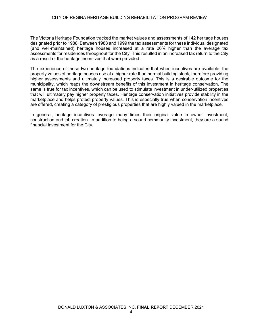The Victoria Heritage Foundation tracked the market values and assessments of 142 heritage houses designated prior to 1988. Between 1988 and 1999 the tax assessments for these individual designated (and well-maintained) heritage houses increased at a rate 26% higher than the average tax assessments for residences throughout for the City. This resulted in an increased tax return to the City as a result of the heritage incentives that were provided.

The experience of these two heritage foundations indicates that when incentives are available, the property values of heritage houses rise at a higher rate than normal building stock, therefore providing higher assessments and ultimately increased property taxes. This is a desirable outcome for the municipality, which reaps the downstream benefits of this investment in heritage conservation. The same is true for tax incentives, which can be used to stimulate investment in under-utilized properties that will ultimately pay higher property taxes. Heritage conservation initiatives provide stability in the marketplace and helps protect property values. This is especially true when conservation incentives are offered, creating a category of prestigious properties that are highly valued in the marketplace.

In general, heritage incentives leverage many times their original value in owner investment, construction and job creation. In addition to being a sound community investment, they are a sound financial investment for the City.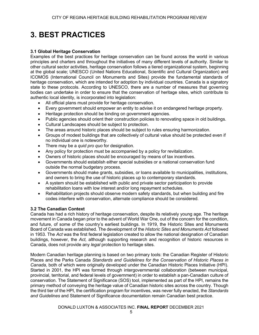# **3. BEST PRACTICES**

#### **3.1 Global Heritage Conservation**

Examples of the best practices for heritage conservation can be found across the world in various principles and charters and throughout the initiatives of many different levels of authority. Similar to other cultural sector activities, heritage conservation follows a tiered organizational system, beginning at the global scale; UNESCO (United Nations Educational, Scientific and Cultural Organization) and ICOMOS (International Council on Monuments and Sites) provide the fundamental standards of heritage conservation, which are intended for adoption by individual countries. Canada is a signatory state to these protocols. According to UNESCO, there are a number of measures that governing bodies can undertake in order to ensure that the conservation of heritage sites, which contribute to authentic local identity, is incorporated into legislation:

- All official plans must provide for heritage conservation.
- Every government should empower an entity to advise it on endangered heritage property.
- Heritage protection should be binding on government agencies.
- Public agencies should orient their construction policies to renovating space in old buildings.
- Cultural Landscapes should be subject to protection.
- The areas around historic places should be subject to rules ensuring harmonization.
- Groups of modest buildings that are collectively of cultural value should be protected even if no individual one is noteworthy.
- There may be a *quid pro quo* for designation.
- Any policy for protection must be accompanied by a policy for revitalization.
- Owners of historic places should be encouraged by means of tax incentives.
- Governments should establish either special subsidies or a national conservation fund outside the normal budgetary process.
- Governments should make grants, subsidies, or loans available to municipalities, institutions, and owners to bring the use of historic places up to contemporary standards.
- A system should be established with public and private sector participation to provide rehabilitation loans with low interest and/or long repayment schedules.
- Rehabilitation projects should observe modern safety standards, but when building and fire codes interfere with conservation, alternate compliance should be considered.

#### **3.2 The Canadian Context**

Canada has had a rich history of heritage conservation, despite its relatively young age. The heritage movement in Canada began prior to the advent of World War One, out of the concern for the condition, and future, of some of the country's earliest buildings. In 1919, the Historic Sites and Monuments Board of Canada was established. The development of the *Historic Sites and Monuments Act* followed in 1953. The *Act* was the first federal legislation created to allow the national designation of Canadian buildings, however, the *Act,* although supporting research and recognition of historic resources in Canada, does not provide any *legal* protection to heritage sites.

Modern Canadian heritage planning is based on two primary tools: the Canadian Register of Historic Places and the Parks Canada *Standards and Guidelines for the Conservation of Historic Places in Canada,* both of which were originally developed under the Canadian Historic Places Initiative (HPI). Started in 2001, the HPI was formed through intergovernmental collaboration (between municipal, provincial, territorial, and federal levels of government) in order to establish a pan-Canadian culture of conservation. The Statement of Significance (SOS) tool, implemented as part of the HPI, remains the primary method of conveying the heritage value of Canadian historic sites across the country. Though the third tier of the HPI, the certification program for incentives, was never fully enacted, the *Standards and Guidelines* and Statement of Significance documentation remain Canadian best practice.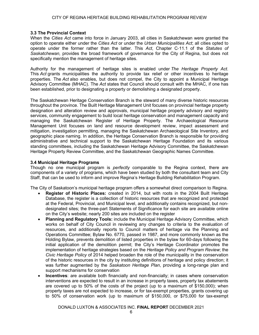#### **3.3 The Provincial Context**

When the *Cities Act* came into force in January 2003, all cities in Saskatchewan were granted the option to operate either under the *Cities Act* or under the *Urban Municipalities Act*; all cities opted to operate under the former rather than the latter. This *Act*, Chapter C-11.1 of the *Statutes of Saskatchewan,* provides the broad framework of governance for the City of Regina, but does not specifically mention the management of heritage sites.

Authority for the management of heritage sites is enabled under *The Heritage Property Act*. This *Act* grants municipalities the authority to provide tax relief or other incentives to heritage properties. The *Act* also enables, but does not compel, the City to appoint a Municipal Heritage Advisory Committee (MHAC). The *Act* states that Council should consult with the MHAC, if one has been established, prior to designating a property or demolishing a designated property.

The Saskatchewan Heritage Conservation Branch is the steward of many diverse historic resources throughout the province. The Built Heritage Management Unit focuses on provincial heritage property designation and alteration review and approvals, municipal heritage property advisory and registry services, community engagement to build local heritage conservation and management capacity and managing the Saskatchewan Register of Heritage Property. The Archaeological Resource Management Unit focuses on land and resource development review, impact assessment and mitigation, investigation permitting, managing the Saskatchewan Archaeological Site Inventory, and geographic place naming. In addition, the Heritage Conservation Branch is responsible for providing administrative and technical support to the Saskatchewan Heritage Foundation and its various standing committees, including the Saskatchewan Heritage Advisory Committee, the Saskatchewan Heritage Property Review Committee, and the Saskatchewan Geographic Names Committee.

#### **3.4 Municipal Heritage Programs**

Though no one municipal program is *perfectly* comparable to the Regina context, there are components of a variety of programs, which have been studied by both the consultant team and City Staff, that can be used to inform and improve Regina's Heritage Building Rehabilitation Program.

The City of Saskatoon's municipal heritage program offers a somewhat direct comparison to Regina.

- **Register of Historic Places:** created in 2014, but with roots in the 2004 Built Heritage Database, the register is a collection of historic resources that are recognized and protected at the Federal, Provincial, and Municipal level, and additionally contains recognized, but nondesignated sites; the three-part Statements of Significance for each site are available online on the City's website; nearly 200 sites are included on the register
- **Planning and Regulatory Tools:** include the Municipal Heritage Advisory Committee, which works on behalf of City Council in reviewing any changes to criteria to the evaluation of resources, and additionally reports to Council matters of heritage via the Planning and Operations Committee; Bylaw No. 6770, passed in 1987, and more commonly known as the Holding Bylaw, prevents demolition of listed properties in the bylaw for 60-days following the initial application of the demolition permit; the City's Heritage Coordinator promotes the implementation of heritage strategies based on the *Heritage Policy and Program Review*; the *Civic Heritage Policy* of 2014 helped broaden the role of the municipality in the conservation of the historic resources in the city by instituting definitions of heritage and policy direction; it was further augmented by the *Saskatoon Heritage Plan*, providing a long-range plan and support mechanisms for conservation
- **Incentives:** are available both financially and non-financially; in cases where conservation interventions are expected to result in an increase in property taxes, property tax abatements are covered up to 50% of the costs of the project (up to a maximum of \$150,000); when property taxes are not expected to increase, or for tax-exempt properties, grants covering up to 50% of conservation work (up to maximum of \$150,000, or \$75,000 for tax-exempt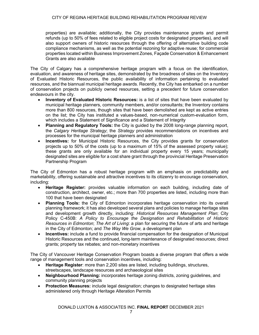properties) are available; additionally, the City provides maintenance grants and permit refunds (up to 50% of fees related to eligible project costs for designated properties), and will also support owners of historic resources through the offering of alternative building code compliance mechanisms, as well as the potential rezoning for adaptive reuse; for commercial properties located within Business Improvement Zones, Façade Conservation & Enhancement Grants are also available

The City of Calgary has a comprehensive heritage program with a focus on the identification, evaluation, and awareness of heritage sites, demonstrated by the broadness of sites on the Inventory of Evaluated Historic Resources, the public availability of information pertaining to evaluated resources, and the biannual municipal heritage awards. Recently, the City has embarked on a number of conservation projects on publicly owned resources, setting a precedent for future conservation endeavours in the city.

- **Inventory of Evaluated Historic Resources:** is a list of sites that have been evaluated by municipal heritage planners, community members, and/or consultants; the Inventory contains more than 800 resources, though sites that have been demolished are kept as active entries on the list; the City has instituted a values-based, non-numerical custom-evaluation form, which includes a Statement of Significance and a Statement of Integrity
- **Planning and Regulatory Tools:** the City is guided by the 2008 long-range planning report, the *Calgary Heritage Strategy*; the *Strategy* provides recommendations on incentives and processes for the municipal heritage planners and administration
- **Incentives:** for Municipal Historic Resources, the City provides grants for conservation projects up to 50% of the costs (up to a maximum of 15% of the assessed property value); these grants are only available for an individual property every 15 years; municipally designated sites are eligible for a cost share grant through the provincial Heritage Preservation Partnership Program

The City of Edmonton has a robust heritage program with an emphasis on predictability and marketability, offering sustainable and attractive incentives to its citizenry to encourage conservation, including:

- **Heritage Register:** provides valuable information on each building, including date of construction, architect, owner, etc.; more than 700 properties are listed, including more than 100 that have been designated
- **Planning Tools:** the City of Edmonton incorporates heritage conservation into its overall planning framework; it has also developed several plans and policies to manage heritage sites and development growth directly, including: *Historical Resources Management Plan*; City Policy C-450B: *A Policy to Encourage the Designation and Rehabilitation of Historic Resources in Edmonton*; *The Art of Living*: a plan for securing the future of arts and heritage in the City of Edmonton; and *The Way We Grow,* a development plan
- **Incentives:** include a fund to provide financial compensation for the designation of Municipal Historic Resources and the continued, long-term maintenance of designated resources; direct grants; property tax rebates; and non-monetary incentives

The City of Vancouver Heritage Conservation Program boasts a diverse program that offers a wide range of management tools and conservation incentives, including:

- **Heritage Register**: more than 2,200 sites are listed, including buildings, structures, streetscapes, landscape resources and archaeological sites
- **Neighbourhood Planning:** incorporates heritage zoning districts, zoning guidelines, and community planning projects
- **Protection Measures:** include legal designation; changes to designated heritage sites administered only through Heritage Alteration Permits

DONALD LUXTON & ASSOCIATES INC. **FINAL REPORT** DECEMBER 2021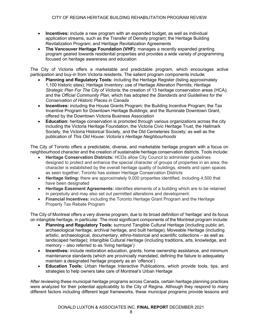- **Incentives:** include a new program with an expanded budget, as well as individual application streams, such as the Transfer of Density program; the Heritage Building Revitalization Program; and Heritage Revitalization Agreements
- **The Vancouver Heritage Foundation (VHF):** manages a recently expanded granting program geared towards residential properties and provides a wide variety of programming focused on heritage awareness and education

The City of Victoria offers a marketable and predictable program, which encourages active participation and buy-in from Victoria residents. The salient program components include:

- **Planning and Regulatory Tools:** including the Heritage Register (listing approximately 1,100 historic sites); Heritage Inventory; use of Heritage Alteration Permits; *Heritage Strategic Plan For The City of Victoria*; the creation of 13 heritage conservation areas (HCA); and the *Official Community Plan*, which has adopted the *Standards and Guidelines for the Conservation of Historic Places in Canada*
- **Incentives:** including the House Grants Program; the Building Incentive Program; the Tax Incentive Program for Downtown Heritage Buildings; and the Illuminate Downtown Grant, offered by the Downtown Victoria Business Association
- **Education:** heritage conservation is promoted through various organizations across the city including the Victoria Heritage Foundation, the Victoria Civic Heritage Trust, the Hallmark Society, the Victoria Historical Society, and the Old Cemeteries Society; as well as the publication of *This Old House: Victoria's Heritage Neighbourhoods*

The City of Toronto offers a predictable, diverse, and marketable heritage program with a focus on neighbourhood character and the creation of sustainable heritage conservation districts. Tools include:

- **Heritage Conservation Districts:** HCDs allow City Council to administer guidelines designed to protect and enhance the special character of groups of properties in an area; the character is established by the overall heritage quality of buildings, streets and open spaces as seen together; Toronto has sixteen Heritage Conservation Districts
- **Heritage listing:** there are approximately 9,000 properties identified, including 4,500 that have been designated
- **Heritage Easement Agreements:** identifies elements of a building which are to be retained in perpetuity and may also set out permitted alterations and development.
- **Financial Incentives:** including the Toronto Heritage Grant Program and the Heritage Property Tax Rebate Program

The City of Montreal offers a very diverse program, due to its broad definition of 'heritage' and its focus on intangible heritage, in particular. The most significant components of the Montreal program include:

- **Planning and Regulatory Tools:** surround Tangible Cultural Heritage (including public art, archaeological heritage, archival heritage, and built heritage); Moveable Heritage (including artistic, archaeological, documentary, ethno-historical and scientific collections – as well as landscaped heritage); Intangible Cultural Heritage (including traditions, arts, knowledge, and memory – also referred to as 'living heritage')
- **Incentives:** include restoration education, grants, home ownership assistance, and minimum maintenance standards (which are provincially mandated, defining the failure to adequately maintain a designated heritage property as an 'offence')
- **Education Tools:** Urban Heritage Interactive Publications, which provide tools, tips, and strategies to help owners take care of Montreal's Urban Heritage

After reviewing these municipal heritage programs across Canada, certain heritage planning practices were analyzed for their potential applicability to the City of Regina. Although they respond to many different factors including different legal frameworks, these municipal programs provide lessons and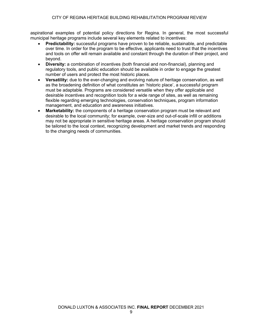aspirational examples of potential policy directions for Regina. In general, the most successful municipal heritage programs include several key elements related to incentives:

- **Predictability:** successful programs have proven to be reliable, sustainable, and predictable over time. In order for the program to be effective, applicants need to trust that the incentives and tools on offer will remain available and constant through the duration of their project, and beyond.
- **Diversity:** a combination of incentives (both financial and non-financial), planning and regulatory tools, and public education should be available in order to engage the greatest number of users and protect the most historic places.
- **Versatility:** due to the ever-changing and evolving nature of heritage conservation, as well as the broadening definition of what constitutes an 'historic place', a successful program must be adaptable. Programs are considered versatile when they offer applicable and desirable incentives and recognition tools for a wide range of sites, as well as remaining flexible regarding emerging technologies, conservation techniques, program information management, and education and awareness initiatives.
- **Marketability:** the components of a heritage conservation program must be relevant and desirable to the local community; for example, over-size and out-of-scale infill or additions may not be appropriate in sensitive heritage areas. A heritage conservation program should be tailored to the local context, recognizing development and market trends and responding to the changing needs of communities.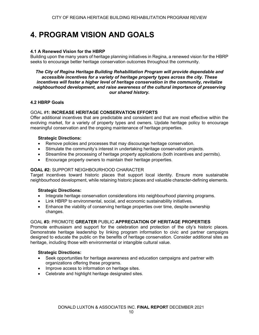# **4. PROGRAM VISION AND GOALS**

#### **4.1 A Renewed Vision for the HBRP**

Building upon the many years of heritage planning initiatives in Regina, a renewed vision for the HBRP seeks to encourage better heritage conservation outcomes throughout the community.

#### *The City of Regina Heritage Building Rehabilitation Program will provide dependable and accessible incentives for a variety of heritage property types across the city. These incentives will foster a higher level of heritage conservation in the community, revitalize neighbourhood development, and raise awareness of the cultural importance of preserving our shared history.*

#### **4.2 HBRP Goals**

#### GOAL #**1: INCREASE HERITAGE CONSERVATION EFFORTS**

Offer additional incentives that are predictable and consistent and that are most effective within the evolving market, for a variety of property types and owners. Update heritage policy to encourage meaningful conservation and the ongoing maintenance of heritage properties.

#### **Strategic Directions:**

- Remove policies and processes that may discourage heritage conservation.
- Stimulate the community's interest in undertaking heritage conservation projects.
- Streamline the processing of heritage property applications (both incentives and permits).
- Encourage property owners to maintain their heritage properties.

#### **GOAL #2:** SUPPORT NEIGHBOURHOOD CHARACTER

Target incentives toward historic places that support local identity. Ensure more sustainable neighbourhood development, while retaining historic places and valuable character-defining elements.

#### **Strategic Directions:**

- Integrate heritage conservation considerations into neighbourhood planning programs.
- Link HBRP to environmental, social, and economic sustainability initiatives.
- Enhance the viability of conserving heritage properties over time, despite ownership changes.

#### GOAL **#3:** PROMOTE **GREATER** PUBLIC **APPRECIATION OF HERITAGE PROPERTIES**

Promote enthusiasm and support for the celebration and protection of the city's historic places. Demonstrate heritage leadership by linking program information to civic and partner campaigns designed to educate the public on the benefits of heritage conservation. Consider additional sites as heritage, including those with environmental or intangible cultural value.

#### **Strategic Directions:**

- Seek opportunities for heritage awareness and education campaigns and partner with organizations offering these programs.
- Improve access to information on heritage sites.
- Celebrate and highlight heritage designated sites.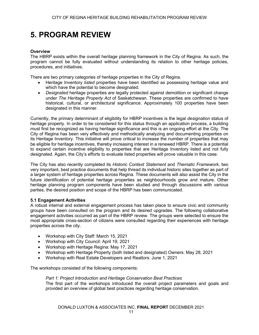# **5. PROGRAM REVIEW**

#### **Overview**

The HBRP exists within the overall heritage planning framework in the City of Regina. As such, the program cannot be fully evaluated without understanding its relation to other heritage policies, procedures, and initiatives.

There are two primary categories of heritage properties in the City of Regina.

- Heritage Inventory *listed* properties have been identified as possessing heritage value and which have the potential to become designated.
- *Designated* heritage properties are legally protected against demolition or significant change under *The Heritage Property Act* of Saskatchewan. These properties are confirmed to have historical, cultural, or architectural significance. Approximately 100 properties have been designated in this manner.

Currently, the primary determinant of eligibility for HBRP incentives is the legal *designation* status of heritage property. In order to be considered for this status through an application process, a building must first be recognized as having heritage significance and this is an ongoing effort at the City. The City of Regina has been very effectively and methodically analyzing and documenting properties on its Heritage Inventory. This initiative will prove critical to increase the number of properties that may be eligible for heritage incentives, thereby increasing interest in a renewed HBRP. There is a potential to expand certain incentive eligibility to properties that are Heritage Inventory listed and not fully designated. Again, the City's efforts to evaluate listed properties will prove valuable in this case.

The City has also recently completed its *Historic Context Statement* and *Thematic Framework*, two very important, best practice documents that help thread its individual historic sites together as part of a larger system of heritage properties across Regina. These documents will also assist the City in the future identification of potential heritage properties as neighbourhoods grow and mature. Other heritage planning program components have been studied and through discussions with various parties, the desired position and scope of the HBRP has been communicated.

#### **5.1 Engagement Activities**

A robust internal and external engagement process has taken place to ensure civic and community groups have been consulted on the program and its desired upgrades. The following collaborative engagement activities occurred as part of the HBRP review. The groups were selected to ensure the most appropriate cross-section of citizens were consulted regarding their experiences with heritage properties across the city.

- Workshop with City Staff: March 15, 2021
- Workshop with City Council: April 19, 2021
- Workshop with Heritage Regina: May 17, 2021
- Workshop with Heritage Property (both listed and designated) Owners: May 28, 2021
- Workshop with Real Estate Developers and Realtors: June 1, 2021

The workshops consisted of the following components:

*Part 1: Project Introduction and Heritage Conservation Best Practices* The first part of the workshops introduced the overall project parameters and goals and provided an overview of global best practices regarding heritage conservation.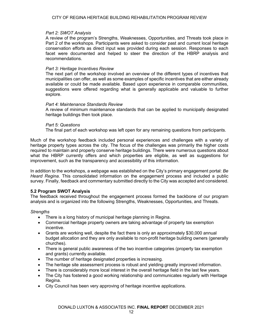#### *Part 2: SWOT Analysis*

A review of the program's Strengths, Weaknesses, Opportunities, and Threats took place in Part 2 of the workshops. Participants were asked to consider past and current local heritage conservation efforts as direct input was provided during each session. Responses to each facet were documented and helped to steer the direction of the HBRP analysis and recommendations.

#### *Part 3: Heritage Incentives Review*

The next part of the workshop involved an overview of the different types of incentives that municipalities can offer, as well as some examples of specific incentives that are either already available or could be made available. Based upon experience in comparable communities, suggestions were offered regarding what is generally applicable and valuable to further explore.

#### *Part 4: Maintenance Standards Review*

A review of minimum maintenance standards that can be applied to municipally designated heritage buildings then took place.

#### *Part 5: Questions*

The final part of each workshop was left open for any remaining questions from participants.

Much of the workshop feedback included personal experiences and challenges with a variety of heritage property types across the city. The focus of the challenges was primarily the higher costs required to maintain and properly conserve heritage buildings. There were numerous questions about what the HBRP currently offers and which properties are eligible, as well as suggestions for improvement, such as the transparency and accessibility of this information.

In addition to the workshops, a webpage was established on the City's primary engagement portal: *Be Heard Regina*. This consolidated information on the engagement process and included a public survey. Finally, feedback and commentary submitted directly to the City was accepted and considered.

#### **5.2 Program SWOT Analysis**

The feedback received throughout the engagement process formed the backbone of our program analysis and is organized into the following Strengths, Weaknesses, Opportunities, and Threats.

#### *Strengths*

- There is a long history of municipal heritage planning in Regina.
- Commercial heritage property owners are taking advantage of property tax exemption incentive.
- Grants are working well, despite the fact there is only an approximately \$30,000 annual budget allocation and they are only available to non-profit heritage building owners (generally churches).
- There is general public awareness of the two incentive categories (property tax exemption and grants) currently available.
- The number of heritage designated properties is increasing.
- The heritage site assessment process is robust and yielding greatly improved information.
- There is considerably more local interest in the overall heritage field in the last few years.
- The City has fostered a good working relationship and communicates regularly with Heritage Regina.
- City Council has been very approving of heritage incentive applications.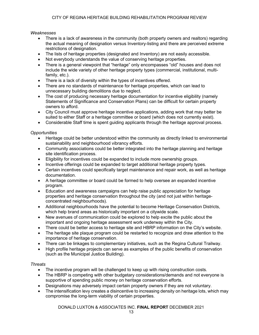*Weaknesses*

- There is a lack of awareness in the community (both property owners and realtors) regarding the actual meaning of designation versus Inventory-listing and there are perceived extreme restrictions of designation.
- The lists of heritage properties (designated and Inventory) are not easily accessible.
- Not everybody understands the value of conserving heritage properties.
- There is a general viewpoint that "heritage" only encompasses "old" houses and does not include the wide variety of other heritage property types (commercial, institutional, multifamily, etc.).
- There is a lack of diversity within the types of incentives offered.
- There are no standards of maintenance for heritage properties, which can lead to unnecessary building demolitions due to neglect.
- The cost of producing necessary heritage documentation for incentive eligibility (namely Statements of Significance and Conservation Plans) can be difficult for certain property owners to afford.
- City Council must approve heritage incentive applications, adding work that may better be suited to either Staff or a heritage committee or board (which does not currently exist).
- Considerable Staff time is spent guiding applicants through the heritage approval process.

#### *Opportunities*

- Heritage could be better understood within the community as directly linked to environmental sustainability and neighbourhood vibrancy efforts.
- Community associations could be better integrated into the heritage planning and heritage site identification process.
- Eligibility for incentives could be expanded to include more ownership groups.
- Incentive offerings could be expanded to target additional heritage property types.
- Certain incentives could specifically target maintenance and repair work, as well as heritage documentation.
- A heritage committee or board could be formed to help oversee an expanded incentive program.
- Education and awareness campaigns can help raise public appreciation for heritage properties and heritage conservation throughout the city (and not just within heritageconcentrated neighbourhoods).
- Additional neighbourhoods have the potential to become Heritage Conservation Districts, which help brand areas as historically important on a citywide scale.
- New avenues of communication could be explored to help excite the public about the important and ongoing heritage assessment work underway within the City.
- There could be better access to heritage site and HBRP information on the City's website.
- The heritage site plaque program could be restarted to recognize and draw attention to the importance of heritage conservation.
- There can be linkages to complementary initiatives, such as the Regina Cultural Trailway.
- High profile heritage projects can serve as examples of the public benefits of conservation (such as the Municipal Justice Building).

#### *Threats*

- The incentive program will be challenged to keep up with rising construction costs.
- The HBRP is competing with other budgetary considerations/demands and not everyone is supportive of spending public money on heritage conservation efforts.
- Designations may adversely impact certain property owners if they are not voluntary.
- The intensification levy creates a disincentive to increasing density on heritage lots, which may compromise the long-term viability of certain properties.

DONALD LUXTON & ASSOCIATES INC. **FINAL REPORT** DECEMBER 2021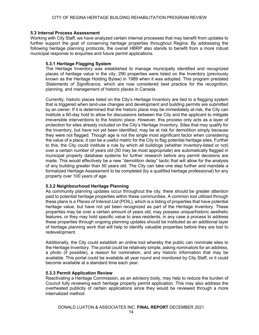#### **5.3 Internal Process Assessment**

Working with City Staff, we have analyzed certain internal processes that may benefit from updates to further support the goal of conserving heritage properties throughout Regina. By addressing the following heritage planning protocols, the overall HBRP also stands to benefit from a more robust municipal response to enquiries and future permit applications.

#### **5.3.1 Heritage Flagging System**

The Heritage Inventory was established to manage municipally identified and recognized places of heritage value in the city; 290 properties were listed on the Inventory (previously known as the Heritage Holding Bylaw) in 1989 when it was adopted. This program predated *Statements of Significance*, which are now considered best practice for the recognition, planning, and management of historic places in Canada.

Currently, historic places listed on the City's Heritage Inventory are tied to a flagging system that is triggered when land-use changes and development and building permits are submitted by an owner. If it is determined that the historic place may be immediately at-risk, the City can institute a 60-day hold to allow for discussions between the City and the applicant to mitigate irreversible interventions to the historic place. However, this process only acts as a layer of protection for sites already included on the City's Heritage Inventory. Sites that may qualify for the Inventory, but have not yet been identified, may be at risk for demolition simply because they were not flagged. Though age is not the single most significant factor when considering the value of a place, it can be a useful metric for the City to flag potential heritage sites. Further to this, the City could institute a rule by which all buildings (whether Inventory-listed or not) over a certain number of years old (50 may be most appropriate) are automatically flagged in municipal property database systems for further research before any permit decisions are made. This would effectively be a new "demolition delay" tactic that will allow for the analysis of any building greater than 50 years old. The City can take one step further and mandate a formalized Heritage Assessment to be completed (by a qualified heritage professional) for any property over 100 years of age.

#### **5.3.2 Neighbourhood Heritage Planning**

As community planning updates occur throughout the city, there should be greater attention paid to potential heritage properties within these communities. A common tool utilized through these plans is a *Places of Interest List* (POIL), which is a listing of properties that have potential heritage value, but have not yet been recognized as part of the Heritage Inventory. These properties may be over a certain amount of years old, may possess unique/historic aesthetic features, or they may hold specific value to area residents; in any case a process to address these properties through ongoing planning updates should be instituted as an additional layer of heritage planning work that will help to identify valuable properties before they are lost to redevelopment.

Additionally, the City could establish an online tool whereby the public can nominate sites to the Heritage Inventory. The portal could be relatively simple, asking nominators for an address, a photo (if possible), a reason for nomination, and any historic information that may be available. This portal could be available all year round and monitored by City Staff, or it could become available at a standard time each year.

#### **5.3.3 Permit Application Review**

Reactivating a Heritage Commission, as an advisory body, may help to reduce the burden of Council fully reviewing each heritage property permit application. This may also address the overheated publicity of certain applications since they would be reviewed through a more internalized method.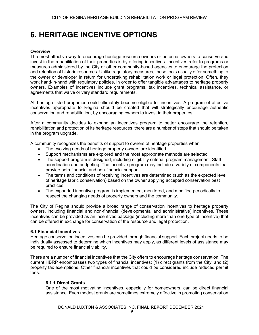### **6. HERITAGE INCENTIVE OPTIONS**

#### **Overview**

The most effective way to encourage heritage resource owners or potential owners to conserve and invest in the rehabilitation of their properties is by offering incentives. Incentives refer to programs or measures administered by the City or other community-based agencies to encourage the protection and retention of historic resources. Unlike regulatory measures, these tools usually offer something to the owner or developer in return for undertaking rehabilitation work or legal protection. Often, they work hand-in-hand with regulatory policies, in order to offer tangible advantages to heritage property owners. Examples of incentives include grant programs, tax incentives, technical assistance, or agreements that waive or vary standard requirements.

All heritage-listed properties could ultimately become eligible for incentives. A program of effective incentives appropriate to Regina should be created that will strategically encourage authentic conservation and rehabilitation, by encouraging owners to invest in their properties.

After a community decides to expand an incentives program to better encourage the retention, rehabilitation and protection of its heritage resources, there are a number of steps that should be taken in the program upgrade.

A community recognizes the benefits of support to owners of heritage properties when:

- The evolving needs of heritage property owners are identified.
- Support mechanisms are explored and the most appropriate methods are selected.
- The support program is designed, including eligibility criteria, program management, Staff coordination and budgeting. The incentive program may include a variety of components that provide both financial and non-financial support.
- The terms and conditions of receiving incentives are determined (such as the expected level of heritage fabric conservation) based on the owner applying accepted conservation best practices.
- The expanded incentive program is implemented, monitored, and modified periodically to respect the changing needs of property owners and the community.

The City of Regina should provide a broad range of conservation incentives to heritage property owners, including financial and non-financial (developmental and administrative) incentives. These incentives can be provided as an incentives package (including more than one type of incentive) that can be offered in exchange for conservation of the resource and legal protection.

#### **6.1 Financial Incentives**

Heritage conservation incentives can be provided through financial support. Each project needs to be individually assessed to determine which incentives may apply, as different levels of assistance may be required to ensure financial viability.

There are a number of financial incentives that the City offers to encourage heritage conservation. The current HBRP encompasses two types of financial incentives: (1) direct grants from the City; and (2) property tax exemptions. Other financial incentives that could be considered include reduced permit fees.

#### **6.1.1 Direct Grants**

One of the most motivating incentives, especially for homeowners, can be direct financial assistance. Even modest grants are sometimes extremely effective in promoting conservation

DONALD LUXTON & ASSOCIATES INC. **FINAL REPORT** DECEMBER 2021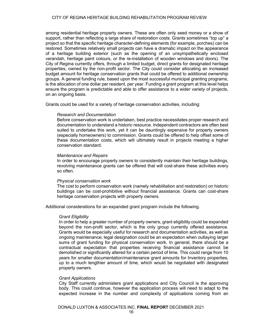#### CITY OF REGINA HERITAGE BUILDING REHABILITATION PROGRAM REVIEW

among residential heritage property owners. These are often only seed money or a show of support, rather than reflecting a large share of restoration costs. Grants sometimes "top up" a project so that the specific heritage character-defining elements (for example, porches) can be restored. Sometimes relatively small projects can have a dramatic impact on the appearance of a heritage building exterior (such as the opening of an unsympathetically enclosed verandah, heritage paint colours, or the re-installation of wooden windows and doors). The City of Regina currently offers, through a limited budget, direct grants for designated heritage properties, owned by the non-profit sector. The City could consider allocating an increased budget amount for heritage conservation grants that could be offered to additional ownership groups. A general funding rule, based upon the most successful municipal granting programs, is the allocation of one dollar per resident, per year. Funding a grant program at this level helps ensure the program is predictable and able to offer assistance to a wider variety of projects, on an ongoing basis.

Grants could be used for a variety of heritage conservation activities, including:

#### *Research and Documentation*

Before conservation work is undertaken, best practice necessitates proper research and documentation to understand a historic resource. Independent contractors are often best suited to undertake this work, yet it can be dauntingly expensive for property owners (especially homeowners) to commission. Grants could be offered to help offset some of these documentation costs, which will ultimately result in projects meeting a higher conservation standard.

#### *Maintenance and Repairs*

In order to encourage property owners to consistently maintain their heritage buildings, revolving maintenance grants can be offered that will cost-share these activities every so often.

#### *Physical conservation work*

The cost to perform conservation work (namely rehabilitation and restoration) on historic buildings can be cost-prohibitive without financial assistance. Grants can cost-share heritage conservation projects with property owners.

Additional considerations for an expanded grant program include the following.

#### *Grant Eligibility*

In order to help a greater number of property owners, grant eligibility could be expanded beyond the non-profit sector, which is the only group currently offered assistance. Grants would be especially useful for research and documentation activities, as well as ongoing maintenance; legal designation could be an expectation when outlaying larger sums of grant funding for physical conservation work. In general, there should be a contractual expectation that properties receiving financial assistance cannot be demolished or significantly altered for a certain period of time. This could range from 10 years for smaller documentation/maintenance grant amounts for Inventory properties, up to a much lengthier amount of time, which would be negotiated with designated property owners.

#### *Grant Applications*

City Staff currently administers grant applications and City Council is the approving body. This could continue, however the application process will need to adapt to the expected increase in the number and complexity of applications coming from an

DONALD LUXTON & ASSOCIATES INC. **FINAL REPORT** DECEMBER 2021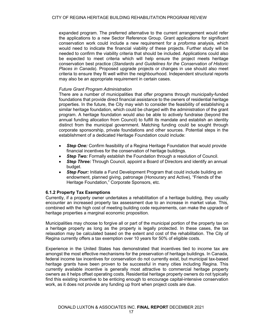expanded program. The preferred alternative to the current arrangement would refer the applications to a new Sector Reference Group. Grant applications for significant conservation work could include a new requirement for a *proforma* analysis, which would need to indicate the financial viability of these projects. Further study will be needed to confirm the viability criteria that should be included. Applications could also be expected to meet criteria which will help ensure the project meets heritage conservation best practice (*Standards and Guidelines for the Conservation of Historic Places in Canada*). Proposed upgrade projects or changes in use should also meet criteria to ensure they fit well within the neighbourhood. Independent structural reports may also be an appropriate requirement in certain cases.

#### *Future Grant Program Administration*

There are a number of municipalities that offer programs through municipally-funded foundations that provide direct financial assistance to the owners of residential heritage properties. In the future, the City may wish to consider the feasibility of establishing a similar heritage foundation, which could be charged with the administration of the grant program. A heritage foundation would also be able to actively fundraise (beyond the annual funding allocation from Council) to fulfill its mandate and establish an identity distinct from the municipal government. Matching funding could be sought through corporate sponsorship, private foundations and other sources. Potential steps in the establishment of a dedicated Heritage Foundation could include:

- *Step One:* Confirm feasibility of a Regina Heritage Foundation that would provide financial incentives for the conservation of heritage buildings.
- *Step Two:* Formally establish the Foundation through a resolution of Council.
- *Step Three:* Through Council, appoint a Board of Directors and identify an annual budget.
- **Step Four:** Initiate a Fund Development Program that could include building an endowment, planned giving, patronage (Honourary and Active), "Friends of the Heritage Foundation," Corporate Sponsors, etc.

#### **6.1.2 Property Tax Exemptions**

Currently, if a property owner undertakes a rehabilitation of a heritage building, they usually encounter an increased property tax assessment due to an increase in market value. This, combined with the high cost of meeting building code requirements, can make the upgrade of heritage properties a marginal economic proposition.

Municipalities may choose to forgive all or part of the municipal portion of the property tax on a heritage property as long as the property is legally protected. In these cases, the tax relaxation may be calculated based on the extent and cost of the rehabilitation. The City of Regina currently offers a tax exemption over 10 years for 50% of eligible costs.

Experience in the United States has demonstrated that incentives tied to income tax are amongst the most effective mechanisms for the preservation of heritage buildings. In Canada, federal income tax incentives for conservation do not currently exist, but municipal tax-based heritage grants have been proven to be successful in many cities including Regina. This currently available incentive is generally most attractive to commercial heritage property owners as it helps offset operating costs. Residential heritage property owners do not typically find this existing incentive to be enticing enough to encourage capital-intensive conservation work, as it does not provide any funding up front when project costs are due.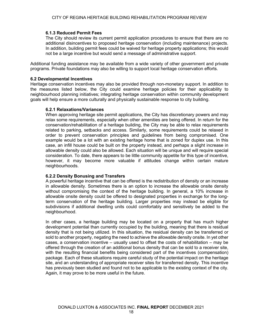#### **6.1.3 Reduced Permit Fees**

The City should review its current permit application procedures to ensure that there are no additional disincentives to proposed heritage conservation (including maintenance) projects. In addition, building permit fees could be waived for heritage property applications; this would not be a large incentive but would send a message of administrative support.

Additional funding assistance may be available from a wide variety of other government and private programs. Private foundations may also be willing to support local heritage conservation efforts.

#### **6.2 Developmental Incentives**

Heritage conservation incentives may also be provided through non-monetary support. In addition to the measures listed below, the City could examine heritage policies for their applicability to neighbourhood planning initiatives; integrating heritage conservation within community development goals will help ensure a more culturally and physically sustainable response to city building.

#### **6.2.1 Relaxations/Variances**

When approving heritage site permit applications, the City has discretionary powers and may relax some requirements, especially when other amenities are being offered. In return for the conservation/rehabilitation of a heritage building, the City may be able to relax requirements related to parking, setbacks and access. Similarly, some requirements could be relaxed in order to prevent conservation principles and guidelines from being compromised. One example would be a lot with an existing heritage home that is zoned for duplex use. In this case, an infill house could be built on the property instead, and perhaps a slight increase in allowable density could also be allowed. Each situation will be unique and will require special consideration. To date, there appears to be little community appetite for this type of incentive, however, it may become more valuable if attitudes change within certain mature neighbourhoods.

#### **6.2.2 Density Bonusing and Transfers**

A powerful heritage incentive that can be offered is the redistribution of density or an increase in allowable density. Sometimes there is an option to increase the allowable onsite density without compromising the context of the heritage building. In general, a 10% increase in allowable onsite density could be offered to designated properties in exchange for the longterm conservation of the heritage building. Larger properties may instead be eligible for subdivisions if additional dwelling units could comfortably and sensitively be added to the neighbourhood.

In other cases, a heritage building may be located on a property that has much higher development potential than currently occupied by the building, meaning that there is residual density that is not being utilized. In this situation, the residual density can be transferred or sold to another property, negating the need to achieve the allowable density onsite. In yet other cases, a conservation incentive – usually used to offset the costs of rehabilitation – may be offered through the creation of an additional bonus density that can be sold to a receiver site, with the resulting financial benefits being considered part of the incentives (compensation) package. Each of these situations require careful study of the potential impact on the heritage site, and an understanding of appropriate receiver sites for transferred density. This incentive has previously been studied and found not to be applicable to the existing context of the city. Again, it may prove to be more useful in the future.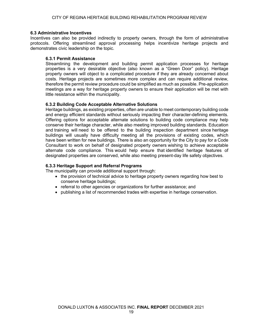#### **6.3 Administrative Incentives**

Incentives can also be provided indirectly to property owners, through the form of administrative protocols. Offering streamlined approval processing helps incentivize heritage projects and demonstrates civic leadership on the topic.

#### **6.3.1 Permit Assistance**

Streamlining the development and building permit application processes for heritage properties is a very desirable objective (also known as a "Green Door" policy). Heritage property owners will object to a complicated procedure if they are already concerned about costs. Heritage projects are sometimes more complex and can require additional review, therefore the permit review procedure could be simplified as much as possible. Pre-application meetings are a way for heritage property owners to ensure their application will be met with little resistance within the municipality.

#### **6.3.2 Building Code Acceptable Alternative Solutions**

Heritage buildings, as existing properties, often are unable to meet contemporary building code and energy efficient standards without seriously impacting their character-defining elements. Offering options for acceptable alternate solutions to building code compliance may help conserve their heritage character, while also meeting improved building standards. Education and training will need to be offered to the building inspection department since heritage buildings will usually have difficulty meeting all the provisions of existing codes, which have been written for new buildings. There is also an opportunity for the City to pay for a Code Consultant to work on behalf of designated property owners wishing to achieve acceptable alternate code compliance. This would help ensure that identified heritage features of designated properties are conserved, while also meeting present-day life safety objectives.

#### **6.3.3 Heritage Support and Referral Programs**

The municipality can provide additional support through:

- the provision of technical advice to heritage property owners regarding how best to conserve heritage buildings;
- referral to other agencies or organizations for further assistance; and
- publishing a list of recommended trades with expertise in heritage conservation.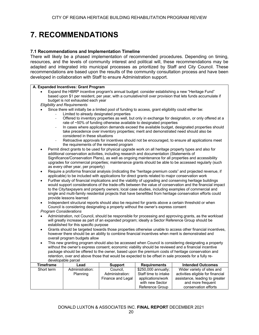# **7. RECOMMENDATIONS**

#### **7.1 Recommendations and Implementation Timeline**

There will likely be a phased implementation of recommended procedures. Depending on timing, resources, and the levels of community interest and political will, these recommendations may be adapted and integrated into municipal processes as prioritized by Staff and City Council. These recommendations are based upon the results of the community consultation process and have been developed in collaboration with Staff to ensure Administration support.

#### **A. Expanded Incentives: Grant Program**

- Expand the HBRP incentive program's annual budget: consider establishing a new "Heritage Fund" based upon \$1 per resident, per year, with a cumulative/roll over provision that lets funds accumulate if budget is not exhausted each year
- *Eligibility and Requirements*
- Since there will initially be a limited pool of funding to access, grant eligibility could either be:
	- Limited to already designated properties
		- Offered to inventory properties as well, but only in exchange for designation, or only offered at a rate of ~50% of funding otherwise available to designated properties
		- In cases where application demands exceed the available budget, designated properties should take precedence over inventory properties; merit and demonstrated need should also be considered in these situations
		- Retroactive approvals for incentives should not be encouraged, to ensure all applications meet the requirements of the renewed program
- Permit direct grants to be used for physical upgrade work on all heritage property types and also for additional conservation activities, including research and documentation (Statements of Significance/Conservation Plans), as well as ongoing maintenance for all properties and accessibility upgrades for commercial properties; maintenance grants should be able to be accessed regularly (such as every other year, per property)
- Require a proforma financial analysis (indicating the "heritage premium costs" and projected revenue, if applicable) to be included with applications for direct grants related to major conservation work
- Further study of financial implications and the viability of upgrading and conserving heritage buildings would support considerations of the trade-offs between the value of conservation and the financial impact to the City/taxpayers and property owners; local case studies, including examples of commercial and single and multi-family residential projects that have benefitted from heritage conservation efforts could provide lessons learned
- Independent structural reports should also be required for grants above a certain threshold or when Council is considering designating a property without the owner's express consent *Program Considerations*
- Administration, not Council, should be responsible for processing and approving grants, as the workload will greatly increase as part of an expanded program; ideally a Sector Reference Group should be established for this specific purpose
- Grants should be targeted towards those properties otherwise unable to access other financial incentives, however there should be an ability to combine financial incentives when merit is demonstrated and overall program budgets allow
- This new granting program should also be accessed when Council is considering designating a property without the owner's express consent; economic viability should be reviewed and a financial incentive package should be offered to the owner, based upon the premium costs of heritage conservation and retention, over and above those that would be expected to be offset in sale proceeds for a fully redevelopable parcel

| <b>Timeframe</b> | Lead            | <b>Support</b>    | Requirements         | <b>Intended Outcomes</b>          |
|------------------|-----------------|-------------------|----------------------|-----------------------------------|
| Short term       | Administration: | Council.          | \$250,000 annually;  | Wider variety of sites and        |
|                  | Planning        | Administration:   | Staff time to intake | activities eligible for financial |
|                  |                 | Finance and Legal | applications/work    | assistance, leading to greater    |
|                  |                 |                   | with new Sector      | and more frequent                 |
|                  |                 |                   | Reference Group      | conservation efforts              |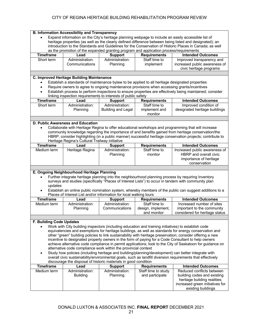|                                                                                                                                                                                                               | <b>B. Information Accessibility and Transparency</b> |                                                                    |                                                                                                     |                                                                                                            |
|---------------------------------------------------------------------------------------------------------------------------------------------------------------------------------------------------------------|------------------------------------------------------|--------------------------------------------------------------------|-----------------------------------------------------------------------------------------------------|------------------------------------------------------------------------------------------------------------|
|                                                                                                                                                                                                               |                                                      |                                                                    |                                                                                                     |                                                                                                            |
| Expand information on the City's heritage planning webpage to include an easily accessible list of<br>heritage properties (as well as the clearly defined difference between being listed and designated); an |                                                      |                                                                    |                                                                                                     |                                                                                                            |
| introduction to the Standards and Guidelines for the Conservation of Historic Places in Canada; as well                                                                                                       |                                                      |                                                                    |                                                                                                     |                                                                                                            |
|                                                                                                                                                                                                               |                                                      |                                                                    | as the promotion of the expanded granting program and application process/requirements              |                                                                                                            |
| <b>Timeframe</b>                                                                                                                                                                                              | Lead                                                 | <b>Support</b>                                                     | <b>Requirements</b>                                                                                 | <b>Intended Outcomes</b>                                                                                   |
| Short term                                                                                                                                                                                                    | Administration:                                      | Administration:                                                    | Staff time to                                                                                       | Improved transparency and                                                                                  |
|                                                                                                                                                                                                               | Communications                                       | Planning                                                           | implement                                                                                           | increased public awareness of                                                                              |
|                                                                                                                                                                                                               |                                                      |                                                                    |                                                                                                     | civic heritage programs                                                                                    |
|                                                                                                                                                                                                               |                                                      |                                                                    |                                                                                                     |                                                                                                            |
|                                                                                                                                                                                                               | C. Improved Heritage Building Maintenance            |                                                                    |                                                                                                     |                                                                                                            |
|                                                                                                                                                                                                               |                                                      |                                                                    | Establish a standards of maintenance bylaw to be applied to all heritage designated properties      |                                                                                                            |
| $\bullet$                                                                                                                                                                                                     |                                                      |                                                                    | Require owners to agree to ongoing maintenance provisions when accessing grants/incentives          |                                                                                                            |
| $\bullet$                                                                                                                                                                                                     |                                                      |                                                                    |                                                                                                     | Establish process to perform inspections to ensure properties are effectively being maintained; consider   |
|                                                                                                                                                                                                               |                                                      | linking inspection requirements to interests of public safety      |                                                                                                     |                                                                                                            |
| <b>Timeframe</b>                                                                                                                                                                                              | Lead                                                 | <b>Support</b>                                                     | <b>Requirements</b>                                                                                 | <b>Intended Outcomes</b>                                                                                   |
|                                                                                                                                                                                                               |                                                      |                                                                    |                                                                                                     |                                                                                                            |
| Short term                                                                                                                                                                                                    | Administration:                                      | Administration:                                                    | Staff time to                                                                                       | Improved condition of                                                                                      |
|                                                                                                                                                                                                               | Planning                                             | <b>Building and Legal</b>                                          | implement and                                                                                       | designated heritage buildings                                                                              |
|                                                                                                                                                                                                               |                                                      |                                                                    | monitor                                                                                             |                                                                                                            |
|                                                                                                                                                                                                               |                                                      |                                                                    |                                                                                                     |                                                                                                            |
|                                                                                                                                                                                                               | D. Public Awareness and Education                    |                                                                    |                                                                                                     |                                                                                                            |
|                                                                                                                                                                                                               |                                                      |                                                                    |                                                                                                     | Collaborate with Heritage Regina to offer educational workshops and programming that will increase         |
|                                                                                                                                                                                                               |                                                      |                                                                    |                                                                                                     | community knowledge regarding the importance of and benefits gained from heritage conservation/the         |
|                                                                                                                                                                                                               |                                                      |                                                                    |                                                                                                     | HBRP; consider highlighting (in a public manner) successful heritage conservation projects; contribute to  |
|                                                                                                                                                                                                               | Heritage Regina's Cultural Trailway initiative       |                                                                    |                                                                                                     |                                                                                                            |
| <b>Timeframe</b>                                                                                                                                                                                              | Lead                                                 | <b>Support</b>                                                     | <b>Requirements</b>                                                                                 | <b>Intended Outcomes</b>                                                                                   |
| Medium term                                                                                                                                                                                                   | Heritage Regina                                      | Administration:                                                    | Staff time to                                                                                       | Increased public awareness of                                                                              |
|                                                                                                                                                                                                               |                                                      | Planning                                                           | monitor                                                                                             | <b>HBRP</b> and overall civic                                                                              |
|                                                                                                                                                                                                               |                                                      |                                                                    |                                                                                                     | importance of heritage                                                                                     |
|                                                                                                                                                                                                               |                                                      |                                                                    |                                                                                                     | conservation                                                                                               |
|                                                                                                                                                                                                               |                                                      |                                                                    |                                                                                                     |                                                                                                            |
|                                                                                                                                                                                                               | E. Ongoing Neighbourhood Heritage Planning           |                                                                    |                                                                                                     |                                                                                                            |
|                                                                                                                                                                                                               |                                                      |                                                                    |                                                                                                     | Further integrate heritage planning into the neighbourhood planning process by requiring Inventory         |
|                                                                                                                                                                                                               |                                                      |                                                                    |                                                                                                     |                                                                                                            |
| surveys and studies (specifically "Places of Interest Lists") to occur in tandem with community plan                                                                                                          |                                                      |                                                                    |                                                                                                     |                                                                                                            |
|                                                                                                                                                                                                               |                                                      |                                                                    |                                                                                                     |                                                                                                            |
| updates                                                                                                                                                                                                       |                                                      |                                                                    |                                                                                                     |                                                                                                            |
| $\bullet$                                                                                                                                                                                                     |                                                      |                                                                    |                                                                                                     | Establish an online public nomination system, whereby members of the public can suggest additions to a     |
|                                                                                                                                                                                                               |                                                      | Places of Interest List and/or information for local walking tours |                                                                                                     |                                                                                                            |
| <b>Timeframe</b>                                                                                                                                                                                              | Lead                                                 | <b>Support</b>                                                     | <b>Requirements</b>                                                                                 | <b>Intended Outcomes</b>                                                                                   |
| Medium term                                                                                                                                                                                                   | Administration:                                      | Administration:                                                    | Staff time to                                                                                       | Increased number of sites                                                                                  |
|                                                                                                                                                                                                               | Planning                                             | Communications                                                     | design, implement,                                                                                  | important to the community                                                                                 |
|                                                                                                                                                                                                               |                                                      |                                                                    | and monitor                                                                                         | considered for heritage status                                                                             |
|                                                                                                                                                                                                               |                                                      |                                                                    |                                                                                                     |                                                                                                            |
| F. Building Code Updates                                                                                                                                                                                      |                                                      |                                                                    |                                                                                                     |                                                                                                            |
|                                                                                                                                                                                                               |                                                      |                                                                    | Work with City building inspectors (including education and training initiatives) to establish code |                                                                                                            |
|                                                                                                                                                                                                               |                                                      |                                                                    |                                                                                                     | equivalencies and exemptions for heritage buildings, as well as standards for energy conservation and      |
|                                                                                                                                                                                                               |                                                      |                                                                    |                                                                                                     |                                                                                                            |
|                                                                                                                                                                                                               |                                                      |                                                                    |                                                                                                     | other "green" building policies to link sustainability with heritage preservation; consider offering a new |
|                                                                                                                                                                                                               |                                                      |                                                                    |                                                                                                     | incentive to designated property owners in the form of paying for a Code Consultant to help owners         |
|                                                                                                                                                                                                               |                                                      |                                                                    |                                                                                                     | achieve alternative code compliance in permit applications; look to the City of Saskatoon for guidance on  |
|                                                                                                                                                                                                               |                                                      | alternative code compliance work within the provincial context     |                                                                                                     |                                                                                                            |
|                                                                                                                                                                                                               |                                                      |                                                                    |                                                                                                     | Study how policies (including heritage and building/planning/development) can better integrate with        |
|                                                                                                                                                                                                               |                                                      |                                                                    |                                                                                                     | overall civic sustainability/environmental goals, such as landfill diversion requirements that effectively |
|                                                                                                                                                                                                               |                                                      | discourage the disposal of historic materials in good condition    |                                                                                                     |                                                                                                            |
| <b>Timeframe</b>                                                                                                                                                                                              | Lead                                                 | <b>Support</b>                                                     | <b>Requirements</b>                                                                                 | <b>Intended Outcomes</b>                                                                                   |
| Medium term                                                                                                                                                                                                   | Administration:                                      | Administration:                                                    | Staff time to study                                                                                 | Reduced conflicts between                                                                                  |
|                                                                                                                                                                                                               | <b>Building</b>                                      | Planning                                                           | and participate                                                                                     | building codes and existing                                                                                |
|                                                                                                                                                                                                               |                                                      |                                                                    |                                                                                                     | heritage building realities;                                                                               |
|                                                                                                                                                                                                               |                                                      |                                                                    |                                                                                                     | increased green initiatives for<br>existing buildings                                                      |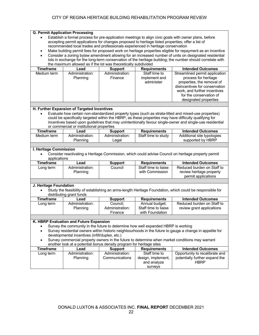|                        | <b>G. Permit Application Processing</b>                              |                 |                                                                                                   |                                                                                                            |
|------------------------|----------------------------------------------------------------------|-----------------|---------------------------------------------------------------------------------------------------|------------------------------------------------------------------------------------------------------------|
|                        |                                                                      |                 |                                                                                                   | Establish a formal process for pre-application meetings to align civic goals with owner plans, before      |
|                        |                                                                      |                 | accepting permit applications for changes proposed to heritage listed properties; offer a list of |                                                                                                            |
|                        |                                                                      |                 | recommended local trades and professionals experienced in heritage conservation                   |                                                                                                            |
|                        |                                                                      |                 |                                                                                                   | Make building permit fees for proposed work on heritage properties eligible for repayment as an incentive  |
| $\bullet$              |                                                                      |                 |                                                                                                   | Consider a zoning bylaw amendment allowing for an increased number of units on designated residential      |
|                        |                                                                      |                 |                                                                                                   | lots in exchange for the long-term conservation of the heritage building; the number should correlate with |
|                        | the maximum allowed as if the lot was theoretically subdivided       |                 |                                                                                                   |                                                                                                            |
| <b>Timeframe</b>       | Lead                                                                 | <b>Support</b>  | <b>Requirements</b>                                                                               | <b>Intended Outcomes</b>                                                                                   |
| Medium term            | Administration:                                                      | Administration: | Staff time to                                                                                     | Streamlined permit application                                                                             |
|                        | Planning                                                             | Finance         | implement and                                                                                     | process for heritage                                                                                       |
|                        |                                                                      |                 | administer                                                                                        | properties, the removal of                                                                                 |
|                        |                                                                      |                 |                                                                                                   | disincentives for conservation                                                                             |
|                        |                                                                      |                 |                                                                                                   | work, and further incentives                                                                               |
|                        |                                                                      |                 |                                                                                                   |                                                                                                            |
|                        |                                                                      |                 |                                                                                                   | for the conservation of                                                                                    |
|                        |                                                                      |                 |                                                                                                   | designated properties                                                                                      |
|                        |                                                                      |                 |                                                                                                   |                                                                                                            |
|                        | H. Further Expansion of Targeted Incentives                          |                 |                                                                                                   |                                                                                                            |
|                        |                                                                      |                 |                                                                                                   | Evaluate how certain non-standardized property types (such as strata-titled and mixed-use properties)      |
|                        |                                                                      |                 |                                                                                                   | could be specifically targeted within the HBRP, as these properties may have difficulty qualifying for     |
|                        |                                                                      |                 |                                                                                                   | incentives based upon guidelines that may unintentionally favour single-owner and single-use residential   |
|                        | or commercial or institutional properties                            |                 |                                                                                                   |                                                                                                            |
| <b>Timeframe</b>       | Lead                                                                 | <b>Support</b>  | <b>Requirements</b>                                                                               | <b>Intended Outcomes</b>                                                                                   |
| Medium term            | Administration:                                                      | Administration: | Staff time to study                                                                               | Additional site typologies                                                                                 |
|                        | Planning                                                             | Legal           |                                                                                                   | supported by HBRP                                                                                          |
|                        |                                                                      |                 |                                                                                                   |                                                                                                            |
| I. Heritage Commission |                                                                      |                 |                                                                                                   |                                                                                                            |
| $\bullet$              |                                                                      |                 |                                                                                                   | Consider reactivating a Heritage Commission, which could advise Council on heritage property permit        |
| applications           |                                                                      |                 |                                                                                                   |                                                                                                            |
| <b>Timeframe</b>       | Lead                                                                 | <b>Support</b>  | <b>Requirements</b>                                                                               | <b>Intended Outcomes</b>                                                                                   |
| Long term              | Administration:                                                      | Council         | Staff time to liaise                                                                              | Reduced burden on Staff to                                                                                 |
|                        | Planning                                                             |                 | with Commission                                                                                   | review heritage property                                                                                   |
|                        |                                                                      |                 |                                                                                                   | permit applications                                                                                        |
|                        |                                                                      |                 |                                                                                                   |                                                                                                            |
|                        |                                                                      |                 |                                                                                                   |                                                                                                            |
| J. Heritage Foundation |                                                                      |                 |                                                                                                   |                                                                                                            |
|                        |                                                                      |                 |                                                                                                   | Study the feasibility of establishing an arms-length Heritage Foundation, which could be responsible for   |
|                        | distributing grant funds                                             |                 |                                                                                                   |                                                                                                            |
| <b>Timeframe</b>       | Lead                                                                 | <b>Support</b>  | <b>Requirements</b>                                                                               | <b>Intended Outcomes</b>                                                                                   |
| Long term              | Administration:                                                      | Council;        | Annual budget;                                                                                    | Reduced burden on Staff to                                                                                 |
|                        | Planning                                                             | Administration: | Staff time to liaise                                                                              | review grant applications                                                                                  |
|                        |                                                                      | Finance         | with Foundation                                                                                   |                                                                                                            |
|                        |                                                                      |                 |                                                                                                   |                                                                                                            |
|                        | K. HBRP Evaluation and Future Expansion                              |                 |                                                                                                   |                                                                                                            |
|                        |                                                                      |                 | Survey the community in the future to determine how well expanded HBRP is working                 |                                                                                                            |
| $\bullet$              |                                                                      |                 |                                                                                                   | Survey residential owners within historic neighbourhoods in the future to gauge a change in appetite for   |
|                        | developmental incentives (infill/duplex, etc.)                       |                 |                                                                                                   |                                                                                                            |
|                        |                                                                      |                 |                                                                                                   |                                                                                                            |
|                        |                                                                      |                 |                                                                                                   | Survey commercial property owners in the future to determine when market conditions may warrant            |
|                        | another look at a potential bonus density program for heritage sites |                 |                                                                                                   |                                                                                                            |
| <b>Timeframe</b>       | Lead                                                                 | <b>Support</b>  | <b>Requirements</b>                                                                               | <b>Intended Outcomes</b>                                                                                   |
| Long term              | Administration:                                                      | Administration: | Staff time to                                                                                     | Opportunity to recalibrate and                                                                             |
|                        | Planning                                                             | Communications  | design, implement,                                                                                | potentially further expand the                                                                             |
| and analyze            |                                                                      |                 |                                                                                                   |                                                                                                            |
|                        |                                                                      |                 |                                                                                                   | <b>HBRP</b>                                                                                                |
|                        |                                                                      |                 | surveys                                                                                           |                                                                                                            |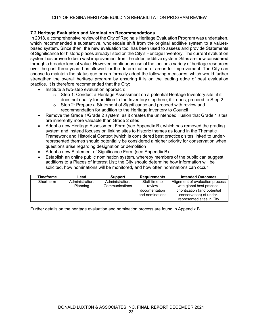#### **7.2 Heritage Evaluation and Nomination Recommendations**

In 2018, a comprehensive review of the City of Regina's Heritage Evaluation Program was undertaken, which recommended a substantive, wholescale shift from the original additive system to a valuesbased system. Since then, the new evaluation tool has been used to assess and provide Statements of Significance for historic places already listed on the City's Heritage Inventory. The current evaluation system has proven to be a vast improvement from the older, additive system. Sites are now considered through a broader lens of value. However, continuous use of the tool on a variety of heritage resources over the past three years has allowed for the determination of areas for improvement. The City can choose to maintain the status quo or can formally adopt the following measures, which would further strengthen the overall heritage program by ensuring it is on the leading edge of best evaluation practice. It is therefore recommended that the City:

- Institute a two-step evaluation approach:
	- $\circ$  Step 1: Conduct a Heritage Assessment on a potential Heritage Inventory site: if it does not qualify for addition to the Inventory stop here, if it does, proceed to Step 2
	- o Step 2: Prepare a Statement of Significance and proceed with review and recommendation for addition to the Heritage Inventory to Council
- Remove the Grade 1/Grade 2 system, as it creates the unintended illusion that Grade 1 sites are inherently more valuable than Grade 2 sites
- Adopt a new Heritage Assessment Form (see Appendix B), which has removed the grading system and instead focuses on linking sites to historic themes as found in the Thematic Framework and Historical Context (which is considered best practice); sites linked to underrepresented themes should potentially be considered a higher priority for conservation when questions arise regarding designation or demolition
- Adopt a new Statement of Significance Form (see Appendix B)
- Establish an online public nomination system, whereby members of the public can suggest additions to a Places of Interest List; the City should determine how information will be solicited, how nominations will be monitored, and how often nominations can occur

| <b>Timeframe</b> | Lead            | <b>Support</b>  | <b>Requirements</b> | <b>Intended Outcomes</b>        |
|------------------|-----------------|-----------------|---------------------|---------------------------------|
| Short term       | Administration: | Administration: | Staff time to       | Alignment of evaluation process |
|                  | Planning        | Communications  | review              | with global best practice;      |
|                  |                 |                 | documentation       | prioritization (and potential   |
|                  |                 |                 | and nominations     | conservation) of under-         |
|                  |                 |                 |                     | represented sites in City       |

Further details on the heritage evaluation and nomination process are found in Appendix B.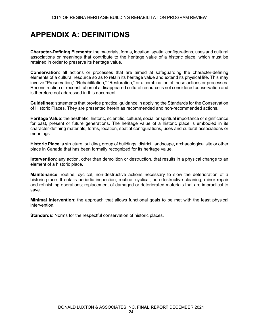### **APPENDIX A: DEFINITIONS**

**Character-Defining Elements**: the materials, forms, location, spatial configurations, uses and cultural associations or meanings that contribute to the heritage value of a historic place, which must be retained in order to preserve its heritage value.

**Conservation**: all actions or processes that are aimed at safeguarding the character-defining elements of a cultural resource so as to retain its heritage value and extend its physical life. This may involve "Preservation," "Rehabilitation," "Restoration," or a combination of these actions or processes. Reconstruction or reconstitution of a disappeared cultural resource is not considered conservation and is therefore not addressed in this document.

**Guidelines**: statements that provide practical guidance in applying the Standards for the Conservation of Historic Places. They are presented herein as recommended and non-recommended actions.

**Heritage Value**: the aesthetic, historic, scientific, cultural, social or spiritual importance or significance for past, present or future generations. The heritage value of a historic place is embodied in its character-defining materials, forms, location, spatial configurations, uses and cultural associations or meanings.

**Historic Place**: a structure, building, group of buildings, district, landscape, archaeological site or other place in Canada that has been formally recognized for its heritage value.

**Intervention**: any action, other than demolition or destruction, that results in a physical change to an element of a historic place.

**Maintenance**: routine, cyclical, non-destructive actions necessary to slow the deterioration of a historic place. It entails periodic inspection; routine, cyclical, non-destructive cleaning; minor repair and refinishing operations; replacement of damaged or deteriorated materials that are impractical to save.

**Minimal Intervention**: the approach that allows functional goals to be met with the least physical intervention.

**Standards**: Norms for the respectful conservation of historic places.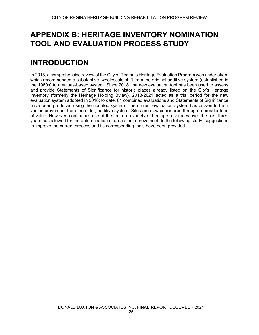### **APPENDIX B: HERITAGE INVENTORY NOMINATION TOOL AND EVALUATION PROCESS STUDY**

# **INTRODUCTION**

In 2018, a comprehensive review of the City of Regina's Heritage Evaluation Program was undertaken, which recommended a substantive, wholescale shift from the original additive system (established in the 1980s) to a values-based system. Since 2018, the new evaluation tool has been used to assess and provide Statements of Significance for historic places already listed on the City's Heritage Inventory (formerly the Heritage Holding Bylaw). 2018-2021 acted as a trial period for the new evaluation system adopted in 2018; to date, 61 combined evaluations and Statements of Significance have been produced using the updated system. The current evaluation system has proven to be a vast improvement from the older, additive system. Sites are now considered through a broader lens of value. However, continuous use of the tool on a variety of heritage resources over the past three years has allowed for the determination of areas for improvement. In the following study, suggestions to improve the current process and its corresponding tools have been provided.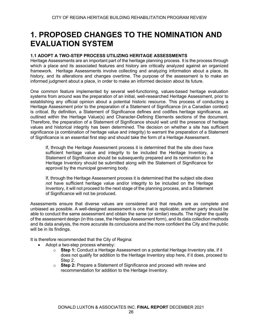### **1. PROPOSED CHANGES TO THE NOMINATION AND EVALUATION SYSTEM**

#### **1.1 ADOPT A TWO-STEP PROCESS UTILIZING HERITAGE ASSESSMENTS**

Heritage Assessments are an important part of the heritage planning process. It is the process through which a place and its associated features and history are critically analyzed against an organized framework. Heritage Assessments involve collecting and analyzing information about a place, its history, and its alterations and changes overtime. The purpose of the assessment is to make an informed judgment about a place, in order to make an informed decision about its future.

One common feature implemented by several well-functioning, values-based heritage evaluation systems from around was the preparation of an initial, well-researched Heritage Assessment, prior to establishing any official opinion about a potential historic resource. This process of conducting a Heritage Assessment prior to the preparation of a Statement of Significance (in a Canadian context) is critical. By definition, a Statement of Significance defines and codifies heritage significance, as outlined within the Heritage Value(s) and Character-Defining Elements sections of the document. Therefore, the preparation of a Statement of Significance should wait until the presence of heritage values and historical integrity has been determined. The decision on whether a site has sufficient significance (a combination of heritage value and integrity) to warrant the preparation of a Statement of Significance is an essential first step and should take the form of a Heritage Assessment.

If, through the Heritage Assessment process it is determined that the site *does* have sufficient heritage value and integrity to be included the Heritage Inventory, a Statement of Significance should be subsequently prepared and its nomination to the Heritage Inventory should be submitted along with the Statement of Significance for approval by the municipal governing body.

If, through the Heritage Assessment process it is determined that the subject site *does not* have sufficient heritage value and/or integrity to be included on the Heritage Inventory, it will not proceed to the next stage of the planning process, and a Statement of Significance will not be produced.

Assessments ensure that diverse values are considered and that results are as complete and unbiased as possible. A well-designed assessment is one that is replicable; another party should be able to conduct the same assessment and obtain the same (or similar) results. The higher the quality of the assessment design (in this case, the Heritage Assessment form), and its data collection methods and its data analysis, the more accurate its conclusions and the more confident the City and the public will be in its findings.

It is therefore recommended that the City of Regina:

- Adopt a two-step process whereby:
	- o **Step 1:** Conduct a Heritage Assessment on a potential Heritage Inventory site, if it does not qualify for addition to the Heritage Inventory stop here, if it does, proceed to Step 2.
	- o **Step 2:** Prepare a Statement of Significance and proceed with review and recommendation for addition to the Heritage Inventory.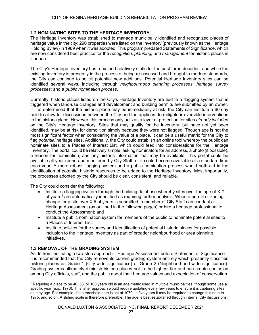#### **1.2 NOMINATING SITES TO THE HERITAGE INVENTORY**

The Heritage Inventory was established to manage municipally identified and recognized places of heritage value in the city; 290 properties were listed on the Inventory (previously known as the Heritage Holding Bylaw) in 1989 when it was adopted. This program predated Statements of Significance, which are now considered best practice for the *recognition, planning, and management* for historic places in Canada.

The City's Heritage Inventory has remained relatively static for the past three decades, and while the existing Inventory is presently in the process of being re-assessed and brought to modern standards, the City can continue to solicit potential new additions. Potential Heritage Inventory sites can be identified several ways, including through *neighbourhood planning processes*; *heritage survey processes*; and a *public nomination process*.

Currently, historic places listed on the City's Heritage Inventory are tied to a flagging system that is triggered when land-use changes and development and building permits are submitted by an owner. If it is determined that the historic place may be immediately at-risk, the City can institute a 60-day hold to allow for discussions between the City and the applicant to mitigate irreversible interventions to the historic place. However, this process only acts as a layer of protection for sites *already included* on the City's Heritage Inventory. Sites that may qualify for the Inventory, but have not yet been identified, may be at risk for demolition simply because they were not flagged. Though age is not the most significant factor when considering the value of a place, it can be a useful metric for the City to flag *potential* heritage sites. Additionally, the City could establish an online tool whereby the public can nominate sites to a Places of Interest List, which could feed into considerations for the Heritage Inventory. The portal could be relatively simple, asking nominators for an address, a photo (if possible), a reason for nomination, and any historic information that may be available. This portal could be available all year round and monitored by City Staff, or it could become available at a standard time each year. A more robust flagging system and a public nomination process would both aid in the identification of potential historic resources to be added to the Heritage Inventory. Most importantly, the processes adopted by the City should be clear, consistent, and reliable.

The City could consider the following:

- Institute a flagging system through the building database whereby sites over the age of  $X \#$ of vears<sup>1</sup> are automatically identified as requiring further analysis. When a permit or zoning change for a site over  $X \#$  of years is submitted, a member of City Staff can conduct a Heritage Assessment (as outlined in the following pages) or hire a heritage professional to conduct the Assessment; and
- Institute a public nomination system for members of the public to nominate potential sites to a Places of Interest List.
- Institute policies for the survey and identification of potential historic places for possible inclusion to the Heritage Inventory as part of broader neighbourhood or area planning initiatives.

#### **1.3 REMOVAL OF THE GRADING SYSTEM**

Aside from instituting a two-step approach – Heritage Assessment before Statement of Significance – it is recommended that the City remove its current grading system entirely which presently classifies historic places as Grade 1 (City-wide significance) or Grade 2 (Neighbourhood-wide significance). Grading systems ultimately diminish historic places not in the highest tier and can create confusion among City officials, staff, and the public about their heritage values and expectation of conservation.

<sup>1</sup> Requiring a place to be 40, 50, or 100 years old is an age metric used in multiple municipalities, though some use a specific year (e.g., 1970). This latter approach would require updating every few years to ensure it is capturing sites as they age. For example, if the threshold date is set at 1970, in five years it may be required to change this date to 1975, and so on. A sliding scale is therefore preferable. The age is best established through internal City discussions.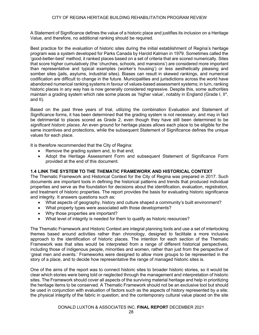A Statement of Significance defines the value of a historic place and justifies its inclusion on a Heritage Value, and therefore, no additional ranking should be required.

Best practice for the evaluation of historic sites during the initial establishment of Regina's heritage program was a system developed for Parks Canada by Harold Kalman in 1979. Sometimes called the 'good-better-best' method, it ranked places based on a set of criteria that are scored numerically. Sites that score higher cumulatively (the 'churches, schools, and mansions') are considered more important than representative and typical examples (worker's housing') or less aesthetically pleasing and somber sites (jails, asylums, industrial sites). Biases can result in skewed rankings, and numerical codification are difficult to change in the future. Municipalities and jurisdictions across the world have abandoned numerical ranking systems in favour of values-based assessment systems; in turn, ranking historic places in any way has is now generally considered regressive. Despite this, some authorities maintain a grading system which rate some places as 'higher value', notably in England (Grade I, II\*, and II).

Based on the past three years of trial, utilizing the combination Evaluation and Statement of Significance forms, it has been determined that the grading system is not necessary, and may in fact be detrimental to places scored as Grade 2, even though they have still been determined to be *significant historic places*. An even ground for heritage places allows each place to be eligible for the same incentives and protections, while the subsequent Statement of Significance defines the unique values for each place.

It is therefore recommended that the City of Regina:

- Remove the grading system and, to that end;
- Adopt the Heritage Assessment Form and subsequent Statement of Significance Form provided at the end of this document.

#### **1.4 LINK THE SYSTEM TO THE THEMATIC FRAMEWORK AND HISTORICAL CONTEXT**

The Thematic Framework and Historical Context for the City of Regina was prepared in 2017. Such documents are important tools in defining the historical patterns and trends that produced individual properties and serve as the foundation for decisions about the identification, evaluation, registration, and treatment of historic properties. The report provides the basis for evaluating historic significance and integrity. It answers questions such as:

- What aspects of geography, history and culture shaped a community's built environment?
- What property types were associated with those developments?
- Why those properties are important?
- What level of integrity is needed for them to qualify as historic resources?

The Thematic Framework and Historic Context are integral planning tools and use a set of interlocking themes based around activities rather than chronology, designed to facilitate a more inclusive approach to the identification of historic places. The intention for each section of the Thematic Framework was that sites would be interpreted from a range of different historical perspectives, including those of indigenous people, minorities and women, rather than just from the perspective of 'great men and events.' Frameworks were designed to allow more groups to be represented in the story of a place, and to decide how representative the range of managed historic sites is.

One of the aims of the report was to connect historic sites to broader historic stories, so it would be clear which stories were being told or neglected through the management and interpretation of historic sites. The Framework should cover all aspects of the surviving material heritage and help in prioritizing the heritage items to be conserved. A Thematic Framework should not be an exclusive tool but should be used in conjunction with evaluation of factors such as the aspects of history represented by a site; the physical integrity of the fabric in question; and the contemporary cultural value placed on the site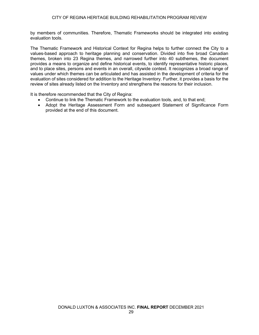by members of communities. Therefore, Thematic Frameworks should be integrated into existing evaluation tools.

The Thematic Framework and Historical Context for Regina helps to further connect the City to a values-based approach to heritage planning and conservation. Divided into five broad Canadian themes, broken into 23 Regina themes, and narrowed further into 40 subthemes, the document provides a means to organize and define historical events, to identify representative historic places, and to place sites, persons and events in an overall, citywide context. It recognizes a broad range of values under which themes can be articulated and has assisted in the development of criteria for the evaluation of sites considered for addition to the Heritage Inventory. Further, it provides a basis for the review of sites already listed on the Inventory and strengthens the reasons for their inclusion.

It is therefore recommended that the City of Regina:

- Continue to link the Thematic Framework to the evaluation tools, and, to that end;
- Adopt the Heritage Assessment Form and subsequent Statement of Significance Form provided at the end of this document.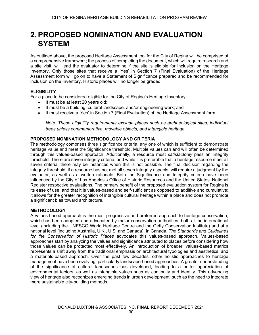### **2.PROPOSED NOMINATION AND EVALUATION SYSTEM**

As outlined above, the proposed Heritage Assessment tool for the City of Regina will be comprised of a comprehensive framework; the process of completing the document, which will require research and a site visit, will lead the evaluator to determine if the site is eligible for inclusion on the Heritage Inventory. Only those sites that receive a 'Yes' in Section 7 (Final Evaluation) of the Heritage Assessment form will go on to have a Statement of Significance prepared and be recommended for inclusion on the Inventory. Historic places will no longer be graded.

#### **ELIGIBILITY**

For a place to be considered eligible for the City of Regina's Heritage Inventory:

- It must be at least 20 years old;
- It must be a building, cultural landscape, and/or engineering work; and
- It must receive a 'Yes' in Section 7 (Final Evaluation) of the Heritage Assessment form.

*Note: These eligibility requirements exclude places such as archaeological sites, individual trees unless commemorative, movable objects, and intangible heritage.* 

#### **PROPOSED NOMINATION METHODOLOGY AND CRITERIA**

The methodology comprises three significance criteria, any one of which is sufficient to demonstrate heritage value and meet the Significance threshold. Multiple values can and will often be determined through this values-based approach. Additionally, a resource must *satisfactorily* pass an Integrity threshold. There are seven integrity criteria, and while it is preferable that a heritage resource meet all seven criteria, there may be instances when this is not possible. The final decision regarding the integrity threshold, if a resource has not met all seven integrity aspects, will require a judgment by the evaluator, as well as a written rationale. Both the Significance and Integrity criteria have been influenced by the City of Los Angeles's Office of Historic Resources and the United States' National Register respective evaluations. The primary benefit of the proposed evaluation system for Regina is its ease of use, and that it is values-based and self-sufficient as opposed to additive and cumulative; it allows for the greater recognition of intangible cultural heritage within a place and does not promote a significant bias toward architecture.

#### **METHODOLOGY**

A values-based approach is the most progressive and preferred approach to heritage conservation, which has been adopted and advocated by major conservation authorities, both at the international level (including the UNESCO World Heritage Centre and the Getty Conservation Institute) and at a national level (including Australia, U.K., U.S. and Canada). In Canada, *The Standards and Guidelines for the Conservation of Historic Places* advocates this values-based approach. Values-based approaches start by analyzing the values and significance attributed to places before considering how those values can be protected most effectively. An introduction of broader, values-based metrics represents a shift away from the traditional emphasis on architectural typologies and aesthetics, and a materials-based approach. Over the past few decades, other holistic approaches to heritage management have been evolving, particularly landscape-based approaches. A greater understanding of the significance of cultural landscapes has developed, leading to a better appreciation of environmental factors, as well as intangible values such as continuity and identity. This advancing view of heritage also recognizes emerging trends in urban development, such as the need to integrate more sustainable city-building methods.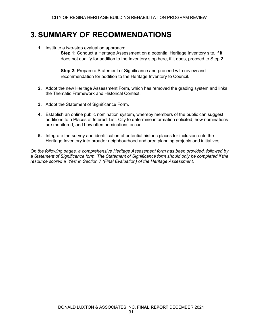### **3.SUMMARY OF RECOMMENDATIONS**

**1.** Institute a two-step evaluation approach:

**Step 1:** Conduct a Heritage Assessment on a potential Heritage Inventory site, if it does not qualify for addition to the Inventory stop here, if it does, proceed to Step 2.

**Step 2:** Prepare a Statement of Significance and proceed with review and recommendation for addition to the Heritage Inventory to Council.

- **2.** Adopt the new Heritage Assessment Form, which has removed the grading system and links the Thematic Framework and Historical Context.
- **3.** Adopt the Statement of Significance Form.
- **4.** Establish an online public nomination system, whereby members of the public can suggest additions to a Places of Interest List. City to determine information solicited, how nominations are monitored, and how often nominations occur.
- **5.** Integrate the survey and identification of potential historic places for inclusion onto the Heritage Inventory into broader neighbourhood and area planning projects and initiatives.

*On the following pages, a comprehensive Heritage Assessment form has been provided, followed by a Statement of Significance form. The Statement of Significance form should only be completed if the resource scored a 'Yes' in Section 7 (Final Evaluation) of the Heritage Assessment.*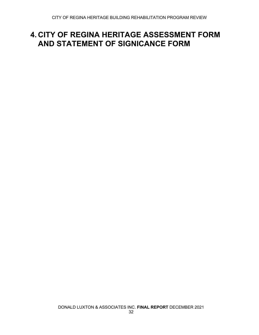### **4. CITY OF REGINA HERITAGE ASSESSMENT FORM AND STATEMENT OF SIGNICANCE FORM**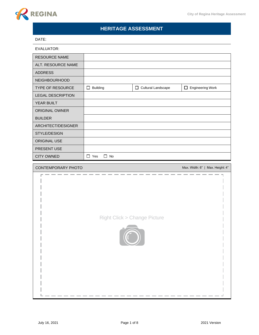

### **HERITAGE ASSESSMENT**

#### DATE:

| <b>RESOURCE NAME</b>     |                         |                      |                                  |
|--------------------------|-------------------------|----------------------|----------------------------------|
| ALT. RESOURCE NAME       |                         |                      |                                  |
| <b>ADDRESS</b>           |                         |                      |                                  |
| NEIGHBOURHOOD            |                         |                      |                                  |
| TYPE OF RESOURCE         | $\Box$ Building         | □ Cultural Landscape | $\Box$ Engineering Work          |
| <b>LEGAL DESCRIPTION</b> |                         |                      |                                  |
| YEAR BUILT               |                         |                      |                                  |
| ORIGINAL OWNER           |                         |                      |                                  |
| <b>BUILDER</b>           |                         |                      |                                  |
| ARCHITECT/DESIGNER       |                         |                      |                                  |
| STYLE/DESIGN             |                         |                      |                                  |
| ORIGINAL USE             |                         |                      |                                  |
| PRESENT USE              |                         |                      |                                  |
| <b>CITY OWNED</b>        | $\Box$ No<br>$\Box$ Yes |                      |                                  |
| CONTEMPORARY PHOTO       |                         |                      | Max. Width: 6"   Max. Height: 4" |
|                          |                         |                      |                                  |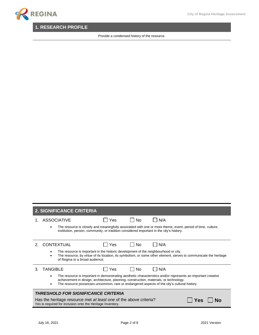### **1. RESEARCH PROFILE**

Provide a condensed history of the resource.

### **2. SIGNIFICANCE CRITERIA**

|    | <b>ASSOCIATIVE</b>                                                                                                              | Yes | Nο             | N/A                                                                                                                                                                                                         |
|----|---------------------------------------------------------------------------------------------------------------------------------|-----|----------------|-------------------------------------------------------------------------------------------------------------------------------------------------------------------------------------------------------------|
|    | institution, person, community, or tradition considered important in the city's history.                                        |     |                | The resource is closely and meaningfully associated with one or more theme, event, period of time, culture,                                                                                                 |
| 2. | <b>CONTEXTUAL</b>                                                                                                               | Yes | No             | N/A                                                                                                                                                                                                         |
|    | The resource is important in the historic development of the neighbourhood or city.<br>of Regina to a broad audience.           |     |                | The resource, by virtue of its location, its symbolism, or some other element, serves to communicate the heritage                                                                                           |
| 3  | <b>TANGIBLE</b>                                                                                                                 | Yes | N <sub>0</sub> | N/A                                                                                                                                                                                                         |
|    | achievement in design, architecture, planning, construction, materials, or technology.                                          |     |                | The resource is important in demonstrating aesthetic characteristics and/or represents an important creative<br>The resource possesses uncommon, rare or endangered aspects of the city's cultural history. |
|    | <i><b>THRESHOLD FOR SIGNIFICANCE CRITERIA</b></i>                                                                               |     |                |                                                                                                                                                                                                             |
|    | Has the heritage resource met at least one of the above criteria?<br>Yes is required for inclusion onto the Heritage Inventory. |     |                | Yes                                                                                                                                                                                                         |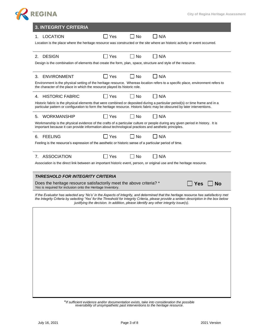

\**If sufficient evidence and/or documentation exists, take into consideration the possible reversibility of unsympathetic past interventions to the heritage resource.*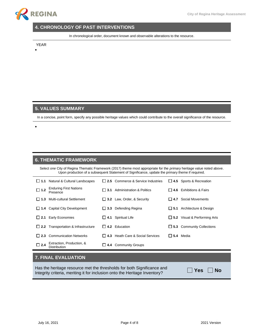

### **4. CHRONOLOGY OF PAST INTERVENTIONS**

In chronological order, document known and observable alterations to the resource.

YEAR

•

•

#### **5. VALUES SUMMARY**

In a concise, point form, specify any possible heritage values which could contribute to the overall significance of the resource.

#### **6. THEMATIC FRAMEWORK**

Select *one* City of Regina Thematic Framework (2017) theme most appropriate for the *primary* heritage value noted above. Upon production of a subsequent Statement of Significance, update the primary theme if required.

|              | $\Box$ 1.1 Natural & Cultural Landscapes   |                     | $\Box$ 2.5 Commerce & Service Industries |                  | $\Box$ 4.5 Sports & Recreation      |
|--------------|--------------------------------------------|---------------------|------------------------------------------|------------------|-------------------------------------|
| $\Box$ 1.2   | <b>Enduring First Nations</b><br>Presence  | 13.1                | <b>Administration &amp; Politics</b>     |                  | $\Box$ 4.6 Exhibitions & Fairs      |
| 11.3         | Multi-cultural Settlement                  |                     | $\Box$ 3.2 Law, Order, & Security        | l 14.7           | Social Movements                    |
| $\Box$ 1.4   | <b>Capital City Development</b>            | $\sqcup$ 3.3        | Defending Regina                         |                  | $\Box$ 5.1 Architecture & Design    |
| $\sqcup$ 2.1 | <b>Early Economies</b>                     | $\sqcup$ 4.1        | <b>Spiritual Life</b>                    |                  | $\Box$ 5.2 Visual & Performing Arts |
|              | $\Box$ 2.2 Transportation & Infrastructure |                     | $\Box$ 4.2 Education                     |                  | $\Box$ 5.3 Community Collections    |
| $\vert$ 12.3 | <b>Communication Networks</b>              |                     | $\Box$ 4.3 Heath Care & Social Services  | $\Box$ 5.4 Media |                                     |
| $\Box$ 2.4   | Extraction, Production, &<br>Distribution  | $\mathbf{L}$<br>4.4 | <b>Community Groups</b>                  |                  |                                     |

#### **7. FINAL EVALUATION**

Has the heritage resource met the thresholds for both Significance and Integrity criteria, meriting it for inclusion onto the Heritage Inventory?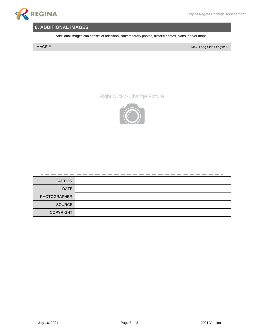

### **8. ADDITIONAL IMAGES**

| IMAGE #             | Max. Long Side Length: 6"              |
|---------------------|----------------------------------------|
|                     | <b>Right Click &gt; Change Picture</b> |
| CAPTION             |                                        |
| <b>DATE</b>         |                                        |
| <b>PHOTOGRAPHER</b> |                                        |
| SOURCE              |                                        |
| <b>COPYRIGHT</b>    |                                        |

Additional images can consist of additional contemporary photos, historic photos, plans, and/or maps.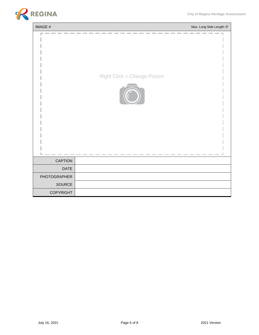

| IMAGE #          | Max. Long Side Length: 6"              |
|------------------|----------------------------------------|
|                  | <b>Right Click &gt; Change Picture</b> |
| <b>CAPTION</b>   |                                        |
| <b>DATE</b>      |                                        |
| PHOTOGRAPHER     |                                        |
| SOURCE           |                                        |
| <b>COPYRIGHT</b> |                                        |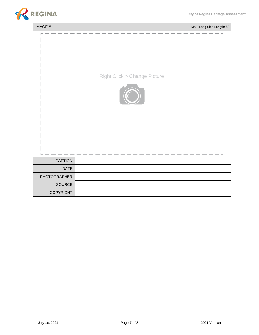

| IMAGE #          | Max. Long Side Length: 6"              |
|------------------|----------------------------------------|
|                  | <b>Right Click &gt; Change Picture</b> |
| <b>CAPTION</b>   |                                        |
| <b>DATE</b>      |                                        |
| PHOTOGRAPHER     |                                        |
| SOURCE           |                                        |
| <b>COPYRIGHT</b> |                                        |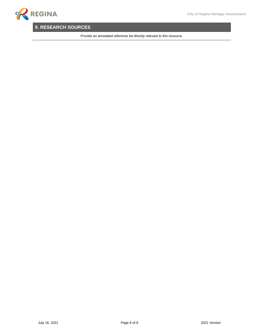### **9. RESEARCH SOURCES**

Provide an annotated reference list directly relevant to this resource.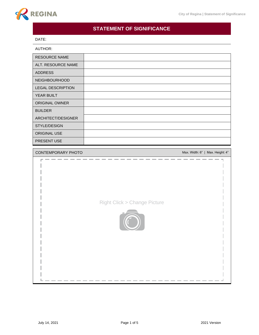

### **STATEMENT OF SIGNIFICANCE**

#### DATE:

| AUTHOR:                  |                                  |
|--------------------------|----------------------------------|
| <b>RESOURCE NAME</b>     |                                  |
| ALT. RESOURCE NAME       |                                  |
| <b>ADDRESS</b>           |                                  |
| <b>NEIGHBOURHOOD</b>     |                                  |
| <b>LEGAL DESCRIPTION</b> |                                  |
| YEAR BUILT               |                                  |
| <b>ORIGINAL OWNER</b>    |                                  |
| <b>BUILDER</b>           |                                  |
| ARCHITECT/DESIGNER       |                                  |
| STYLE/DESIGN             |                                  |
| ORIGINAL USE             |                                  |
| PRESENT USE              |                                  |
|                          |                                  |
| CONTEMPORARY PHOTO       | Max. Width: 6"   Max. Height: 4" |

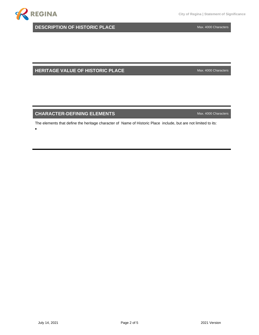

•

**DESCRIPTION OF HISTORIC PLACE** Max. 4000 Characters

**HERITAGE VALUE OF HISTORIC PLACE** Max. 4000 Characters

#### **CHARACTER-DEFINING ELEMENTS CHARACTER-DEFINING ELEMENTS**

The elements that define the heritage character of Name of Historic Place include, but are not limited to its: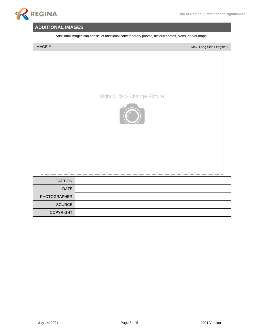

### **ADDITIONAL IMAGES**

| IMAGE #      | Max. Long Side Length: 6"              |
|--------------|----------------------------------------|
|              | <b>Right Click &gt; Change Picture</b> |
| CAPTION      |                                        |
| <b>DATE</b>  |                                        |
| PHOTOGRAPHER |                                        |
| SOURCE       |                                        |
| COPYRIGHT    |                                        |

Additional images can consist of additional contemporary photos, historic photos, plans, and/or maps.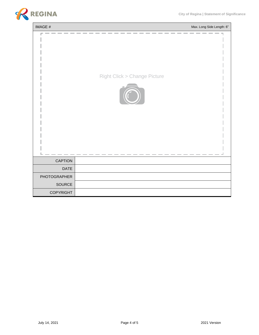

| IMAGE #          | Max. Long Side Length: 6"              |
|------------------|----------------------------------------|
|                  | <b>Right Click &gt; Change Picture</b> |
| <b>CAPTION</b>   |                                        |
| <b>DATE</b>      |                                        |
| PHOTOGRAPHER     |                                        |
| SOURCE           |                                        |
| <b>COPYRIGHT</b> |                                        |